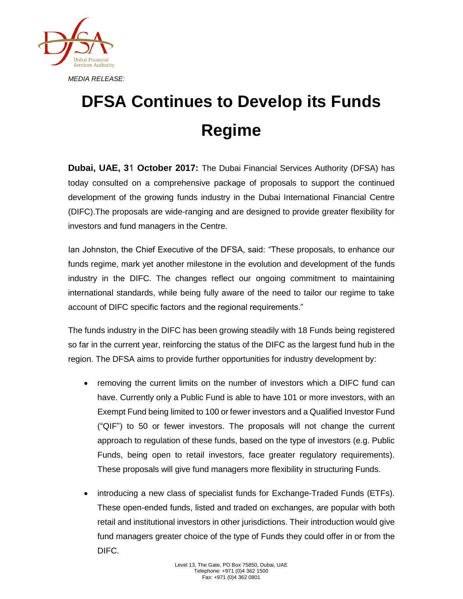

## **DFSA Continues to Develop its Funds Regime**

**Dubai, UAE, 3**1 **October 2017:** The Dubai Financial Services Authority (DFSA) has today consulted on a comprehensive package of proposals to support the continued development of the growing funds industry in the Dubai International Financial Centre (DIFC).The proposals are wide-ranging and are designed to provide greater flexibility for investors and fund managers in the Centre.

Ian Johnston, the Chief Executive of the DFSA, said: "These proposals, to enhance our funds regime, mark yet another milestone in the evolution and development of the funds industry in the DIFC. The changes reflect our ongoing commitment to maintaining international standards, while being fully aware of the need to tailor our regime to take account of DIFC specific factors and the regional requirements."

The funds industry in the DIFC has been growing steadily with 18 Funds being registered so far in the current year, reinforcing the status of the DIFC as the largest fund hub in the region. The DFSA aims to provide further opportunities for industry development by:

- removing the current limits on the number of investors which a DIFC fund can have. Currently only a Public Fund is able to have 101 or more investors, with an Exempt Fund being limited to 100 or fewer investors and a Qualified Investor Fund ("QIF") to 50 or fewer investors. The proposals will not change the current approach to regulation of these funds, based on the type of investors (e.g. Public Funds, being open to retail investors, face greater regulatory requirements). These proposals will give fund managers more flexibility in structuring Funds.
- introducing a new class of specialist funds for Exchange-Traded Funds (ETFs). These open-ended funds, listed and traded on exchanges, are popular with both retail and institutional investors in other jurisdictions. Their introduction would give fund managers greater choice of the type of Funds they could offer in or from the DIFC.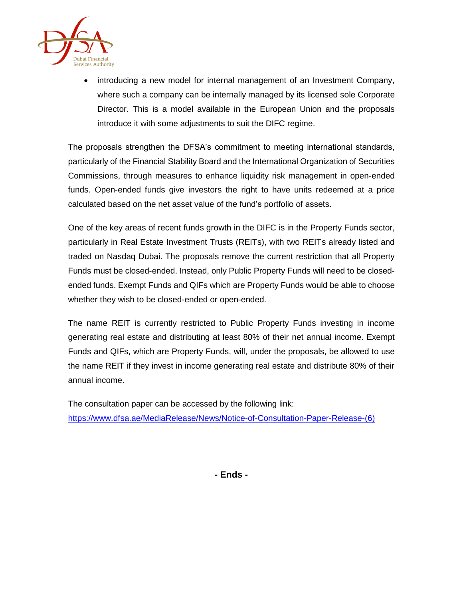

 introducing a new model for internal management of an Investment Company, where such a company can be internally managed by its licensed sole Corporate Director. This is a model available in the European Union and the proposals introduce it with some adjustments to suit the DIFC regime.

The proposals strengthen the DFSA's commitment to meeting international standards, particularly of the Financial Stability Board and the International Organization of Securities Commissions, through measures to enhance liquidity risk management in open-ended funds. Open-ended funds give investors the right to have units redeemed at a price calculated based on the net asset value of the fund's portfolio of assets.

One of the key areas of recent funds growth in the DIFC is in the Property Funds sector, particularly in Real Estate Investment Trusts (REITs), with two REITs already listed and traded on Nasdaq Dubai. The proposals remove the current restriction that all Property Funds must be closed-ended. Instead, only Public Property Funds will need to be closedended funds. Exempt Funds and QIFs which are Property Funds would be able to choose whether they wish to be closed-ended or open-ended.

The name REIT is currently restricted to Public Property Funds investing in income generating real estate and distributing at least 80% of their net annual income. Exempt Funds and QIFs, which are Property Funds, will, under the proposals, be allowed to use the name REIT if they invest in income generating real estate and distribute 80% of their annual income.

The consultation paper can be accessed by the following link: [https://www.dfsa.ae/MediaRelease/News/Notice-of-Consultation-Paper-Release-\(6\)](https://www.dfsa.ae/MediaRelease/News/Notice-of-Consultation-Paper-Release-(6))

**- Ends -**